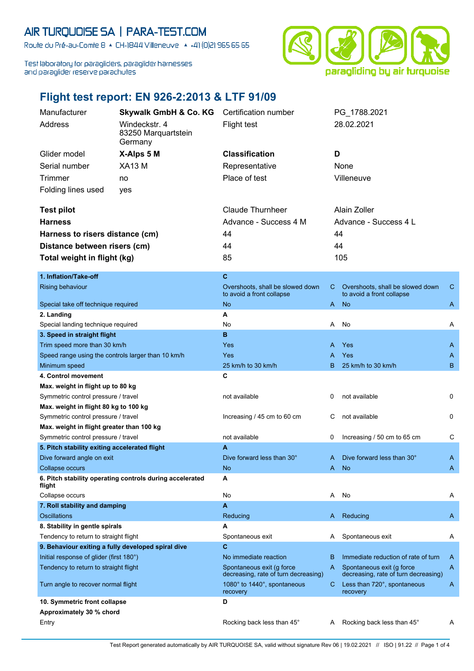## AIR TURQUOISE SA | PARA-TEST.COM

Route du Pré-au-Comte 8 & CH-1844 Villeneuve | 4 +41 (0)21 965 65 65

Test laboratory for paragliders, paraglider harnesses and paraglider reserve parachutes



## **Flight test report: EN 926-2:2013 & LTF 91/09**

| Manufacturer                                       | <b>Skywalk GmbH &amp; Co. KG</b>                         | Certification number                                              |                       | PG 1788.2021                                                      |              |
|----------------------------------------------------|----------------------------------------------------------|-------------------------------------------------------------------|-----------------------|-------------------------------------------------------------------|--------------|
| Address                                            | Windeckstr. 4                                            | Flight test                                                       |                       | 28.02.2021                                                        |              |
|                                                    | 83250 Marquartstein                                      |                                                                   |                       |                                                                   |              |
|                                                    | Germany                                                  |                                                                   |                       |                                                                   |              |
| Glider model                                       | X-Alps 5 M                                               | <b>Classification</b>                                             | D                     |                                                                   |              |
| Serial number                                      | <b>XA13 M</b>                                            | Representative                                                    |                       | None                                                              |              |
| Trimmer                                            | no                                                       | Place of test                                                     |                       | Villeneuve                                                        |              |
| Folding lines used                                 | yes                                                      |                                                                   |                       |                                                                   |              |
|                                                    |                                                          |                                                                   |                       |                                                                   |              |
| <b>Test pilot</b>                                  |                                                          | <b>Claude Thurnheer</b>                                           |                       | Alain Zoller                                                      |              |
| <b>Harness</b>                                     |                                                          | Advance - Success 4 M                                             | Advance - Success 4 L |                                                                   |              |
| Harness to risers distance (cm)                    |                                                          | 44                                                                | 44                    |                                                                   |              |
|                                                    |                                                          |                                                                   |                       |                                                                   |              |
| Distance between risers (cm)                       |                                                          | 44                                                                | 44                    |                                                                   |              |
| Total weight in flight (kg)                        |                                                          | 85                                                                |                       | 105                                                               |              |
| 1. Inflation/Take-off                              |                                                          | C                                                                 |                       |                                                                   |              |
| Rising behaviour                                   |                                                          | Overshoots, shall be slowed down                                  | C.                    | Overshoots, shall be slowed down                                  | $\mathsf{C}$ |
|                                                    |                                                          | to avoid a front collapse                                         |                       | to avoid a front collapse                                         |              |
| Special take off technique required                |                                                          | No.                                                               |                       | A No                                                              | A            |
| 2. Landing                                         |                                                          | A                                                                 |                       |                                                                   |              |
| Special landing technique required                 |                                                          | No                                                                | Α                     | No                                                                | Α            |
| 3. Speed in straight flight                        |                                                          | в                                                                 |                       |                                                                   |              |
| Trim speed more than 30 km/h                       |                                                          | Yes                                                               | A                     | Yes                                                               | A            |
| Speed range using the controls larger than 10 km/h |                                                          | Yes                                                               | А                     | Yes                                                               | A            |
| Minimum speed                                      |                                                          | 25 km/h to 30 km/h                                                | в                     | 25 km/h to 30 km/h                                                | B            |
| 4. Control movement                                |                                                          | C                                                                 |                       |                                                                   |              |
| Max. weight in flight up to 80 kg                  |                                                          |                                                                   |                       |                                                                   |              |
| Symmetric control pressure / travel                |                                                          | not available                                                     | 0                     | not available                                                     | 0            |
| Max. weight in flight 80 kg to 100 kg              |                                                          |                                                                   |                       |                                                                   |              |
| Symmetric control pressure / travel                |                                                          | Increasing / 45 cm to 60 cm                                       | С                     | not available                                                     | 0            |
| Max. weight in flight greater than 100 kg          |                                                          |                                                                   |                       |                                                                   |              |
| Symmetric control pressure / travel                |                                                          | not available                                                     | 0                     | Increasing / 50 cm to 65 cm                                       | С            |
| 5. Pitch stability exiting accelerated flight      |                                                          | A                                                                 |                       |                                                                   |              |
| Dive forward angle on exit                         |                                                          | Dive forward less than 30°                                        | A                     | Dive forward less than 30°                                        | A            |
| <b>Collapse occurs</b>                             | 6. Pitch stability operating controls during accelerated | No.<br>Α                                                          | A                     | <b>No</b>                                                         | A            |
| flight                                             |                                                          |                                                                   |                       |                                                                   |              |
| Collapse occurs                                    |                                                          | No                                                                | A                     | No                                                                | Α            |
| 7. Roll stability and damping                      |                                                          | A                                                                 |                       |                                                                   |              |
| <b>Oscillations</b>                                |                                                          | Reducing                                                          | A                     | Reducing                                                          | A            |
| 8. Stability in gentle spirals                     |                                                          | A                                                                 |                       |                                                                   |              |
| Tendency to return to straight flight              |                                                          | Spontaneous exit                                                  | A                     | Spontaneous exit                                                  | A            |
| 9. Behaviour exiting a fully developed spiral dive |                                                          | C                                                                 |                       |                                                                   |              |
| Initial response of glider (first 180°)            |                                                          | No immediate reaction                                             | в                     | Immediate reduction of rate of turn                               | A            |
| Tendency to return to straight flight              |                                                          | Spontaneous exit (g force<br>decreasing, rate of turn decreasing) | A                     | Spontaneous exit (g force<br>decreasing, rate of turn decreasing) | A            |
| Turn angle to recover normal flight                |                                                          | 1080° to 1440°, spontaneous<br>recovery                           | C.                    | Less than 720°, spontaneous<br>recovery                           | A            |
| 10. Symmetric front collapse                       |                                                          | D                                                                 |                       |                                                                   |              |
| Approximately 30 % chord                           |                                                          |                                                                   |                       |                                                                   |              |
| Entry                                              |                                                          | Rocking back less than 45°                                        | A                     | Rocking back less than 45°                                        | Α            |

Test Report generated automatically by AIR TURQUOISE SA, valid without signature Rev 06 | 19.02.2021 // ISO | 91.22 // Page 1 of 4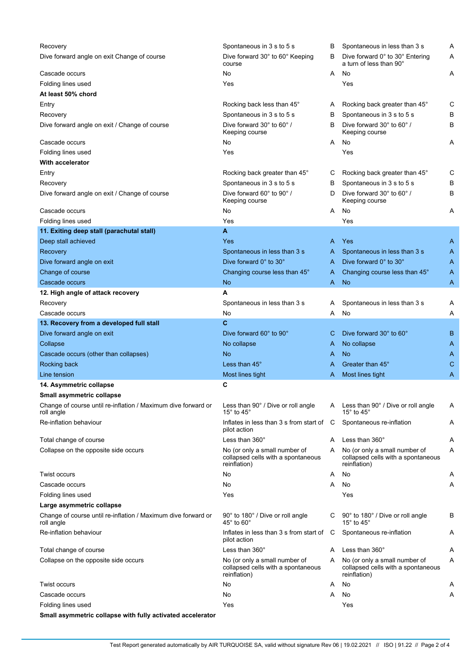| Recovery                                                                    | Spontaneous in 3 s to 5 s                                                           | в | Spontaneous in less than 3 s                                                        | Α |
|-----------------------------------------------------------------------------|-------------------------------------------------------------------------------------|---|-------------------------------------------------------------------------------------|---|
| Dive forward angle on exit Change of course                                 | Dive forward 30° to 60° Keeping<br>course                                           | В | Dive forward 0° to 30° Entering<br>a turn of less than 90°                          | Α |
| Cascade occurs                                                              | No                                                                                  | A | No                                                                                  | Α |
| Folding lines used                                                          | Yes                                                                                 |   | Yes                                                                                 |   |
| At least 50% chord                                                          |                                                                                     |   |                                                                                     |   |
| Entry                                                                       | Rocking back less than 45°                                                          | A | Rocking back greater than 45°                                                       | С |
| Recovery                                                                    | Spontaneous in 3 s to 5 s                                                           | в | Spontaneous in 3 s to 5 s                                                           | В |
| Dive forward angle on exit / Change of course                               | Dive forward 30° to 60° /<br>Keeping course                                         | B | Dive forward 30° to 60°/<br>Keeping course                                          | В |
| Cascade occurs                                                              | No                                                                                  | A | No                                                                                  | Α |
| Folding lines used                                                          | Yes                                                                                 |   | Yes                                                                                 |   |
| With accelerator                                                            |                                                                                     |   |                                                                                     |   |
| Entry                                                                       | Rocking back greater than 45°                                                       | С | Rocking back greater than 45°                                                       | С |
| Recovery                                                                    | Spontaneous in 3 s to 5 s                                                           | В | Spontaneous in 3 s to 5 s                                                           | В |
| Dive forward angle on exit / Change of course                               | Dive forward 60° to 90°/<br>Keeping course                                          | D | Dive forward 30° to 60°/<br>Keeping course                                          | B |
| Cascade occurs                                                              | No                                                                                  | A | No                                                                                  | Α |
| Folding lines used                                                          | Yes                                                                                 |   | Yes                                                                                 |   |
| 11. Exiting deep stall (parachutal stall)                                   | A                                                                                   |   |                                                                                     |   |
| Deep stall achieved                                                         | Yes                                                                                 | A | Yes                                                                                 | A |
| Recovery                                                                    | Spontaneous in less than 3 s                                                        | A | Spontaneous in less than 3 s                                                        | A |
| Dive forward angle on exit                                                  | Dive forward 0° to 30°                                                              | A | Dive forward 0° to 30°                                                              | A |
| Change of course                                                            | Changing course less than 45°                                                       | A | Changing course less than 45°                                                       | A |
| Cascade occurs                                                              | No                                                                                  | A | <b>No</b>                                                                           | A |
| 12. High angle of attack recovery                                           | A                                                                                   |   |                                                                                     |   |
| Recovery                                                                    | Spontaneous in less than 3 s                                                        | A | Spontaneous in less than 3 s                                                        | Α |
| Cascade occurs                                                              | No                                                                                  | A | No                                                                                  | Α |
| 13. Recovery from a developed full stall                                    | C.                                                                                  |   |                                                                                     |   |
| Dive forward angle on exit                                                  | Dive forward 60° to 90°                                                             | С | Dive forward 30° to 60°                                                             | B |
| Collapse                                                                    | No collapse                                                                         | A | No collapse                                                                         | A |
| Cascade occurs (other than collapses)                                       | No                                                                                  | A | <b>No</b>                                                                           | A |
| Rocking back                                                                | Less than 45°                                                                       | A | Greater than 45°                                                                    | C |
| Line tension                                                                | Most lines tight                                                                    | A | Most lines tight                                                                    | Α |
| 14. Asymmetric collapse                                                     | C                                                                                   |   |                                                                                     |   |
| Small asymmetric collapse                                                   |                                                                                     |   |                                                                                     |   |
| Change of course until re-inflation / Maximum dive forward or<br>roll angle | Less than 90° / Dive or roll angle<br>15 $^{\circ}$ to 45 $^{\circ}$                | A | Less than 90° / Dive or roll angle<br>15 $^{\circ}$ to 45 $^{\circ}$                | Α |
| Re-inflation behaviour                                                      | Inflates in less than $3 \text{ s}$ from start of $\hbox{C}$<br>pilot action        |   | Spontaneous re-inflation                                                            | Α |
| Total change of course                                                      | Less than 360°                                                                      | A | Less than 360°                                                                      | Α |
| Collapse on the opposite side occurs                                        | No (or only a small number of<br>collapsed cells with a spontaneous<br>reinflation) | A | No (or only a small number of<br>collapsed cells with a spontaneous<br>reinflation) | Α |
| <b>Twist occurs</b>                                                         | No                                                                                  | A | No                                                                                  | A |
| Cascade occurs                                                              | No                                                                                  | A | No                                                                                  | Α |
| Folding lines used                                                          | Yes                                                                                 |   | Yes                                                                                 |   |
| Large asymmetric collapse                                                   |                                                                                     |   |                                                                                     |   |
| Change of course until re-inflation / Maximum dive forward or<br>roll angle | 90° to 180° / Dive or roll angle<br>45 $^{\circ}$ to 60 $^{\circ}$                  | С | 90° to 180° / Dive or roll angle<br>15 $^{\circ}$ to 45 $^{\circ}$                  | В |
| Re-inflation behaviour                                                      | Inflates in less than 3 s from start of<br>pilot action                             | C | Spontaneous re-inflation                                                            | Α |
| Total change of course                                                      | Less than $360^\circ$                                                               | A | Less than 360°                                                                      | Α |
| Collapse on the opposite side occurs                                        | No (or only a small number of<br>collapsed cells with a spontaneous<br>reinflation) | A | No (or only a small number of<br>collapsed cells with a spontaneous<br>reinflation) | Α |
| Twist occurs                                                                | No                                                                                  | A | No                                                                                  | A |
| Cascade occurs                                                              | No                                                                                  | Α | No                                                                                  | Α |
| Folding lines used                                                          | Yes                                                                                 |   | Yes                                                                                 |   |

**Small asymmetric collapse with fully activated accelerator**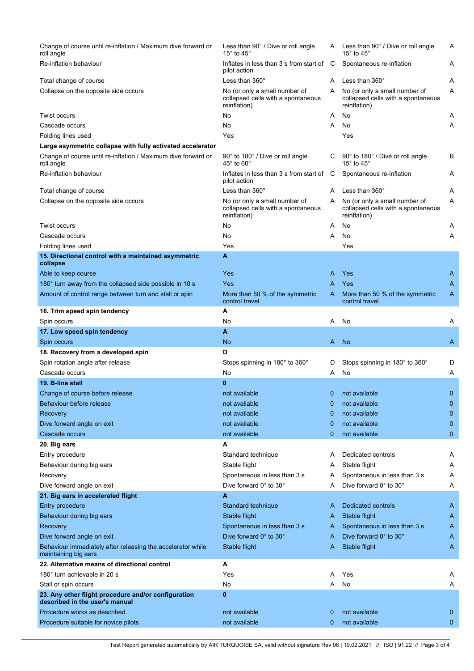| Less than 90° / Dive or roll angle<br>15 $^{\circ}$ to 45 $^{\circ}$                |                            | Less than 90° / Dive or roll angle<br>15 $^{\circ}$ to 45 $^{\circ}$                | Α              |
|-------------------------------------------------------------------------------------|----------------------------|-------------------------------------------------------------------------------------|----------------|
| Inflates in less than 3 s from start of<br>pilot action                             |                            | Spontaneous re-inflation                                                            | Α              |
| Less than 360°                                                                      | A                          | Less than 360°                                                                      | Α              |
| No (or only a small number of<br>collapsed cells with a spontaneous<br>reinflation) | Α                          | No (or only a small number of<br>collapsed cells with a spontaneous<br>reinflation) | Α              |
| No                                                                                  | A                          | No                                                                                  | A              |
| No                                                                                  | Α                          | No                                                                                  | Α              |
| Yes                                                                                 |                            | Yes                                                                                 |                |
|                                                                                     |                            |                                                                                     |                |
| 90° to 180° / Dive or roll angle<br>$45^{\circ}$ to $60^{\circ}$                    | С                          | 90° to 180° / Dive or roll angle<br>15 $^{\circ}$ to 45 $^{\circ}$                  | В              |
| Inflates in less than 3 s from start of<br>pilot action                             | C                          | Spontaneous re-inflation                                                            | Α              |
| Less than $360^\circ$                                                               | A                          | Less than 360°                                                                      | Α              |
| No (or only a small number of<br>collapsed cells with a spontaneous<br>reinflation) | Α                          | No (or only a small number of<br>collapsed cells with a spontaneous<br>reinflation) | Α              |
| No                                                                                  | A                          | No                                                                                  | Α              |
| No                                                                                  | A                          | No                                                                                  | Α              |
| Yes                                                                                 |                            | Yes                                                                                 |                |
| A                                                                                   |                            |                                                                                     |                |
| Yes                                                                                 | A                          | Yes                                                                                 | A              |
| Yes                                                                                 | A                          | Yes                                                                                 | A              |
| More than 50 % of the symmetric<br>control travel                                   | Α                          | More than 50 % of the symmetric<br>control travel                                   | Α              |
| A                                                                                   |                            |                                                                                     |                |
| No                                                                                  | A                          | No                                                                                  | Α              |
| A                                                                                   |                            |                                                                                     |                |
| No                                                                                  |                            |                                                                                     | A              |
|                                                                                     |                            |                                                                                     |                |
| D                                                                                   |                            |                                                                                     |                |
| Stops spinning in 180° to 360°                                                      | D                          | Stops spinning in 180° to 360°                                                      | D              |
| No                                                                                  | A                          | No                                                                                  | A              |
| $\bf{0}$                                                                            |                            |                                                                                     |                |
| not available                                                                       | $\mathbf 0$                | not available                                                                       | $\mathbf{0}$   |
| not available                                                                       | $\mathbf 0$                | not available                                                                       | $\mathbf 0$    |
| not available                                                                       | 0                          | not available                                                                       | $\mathbf{0}$   |
| not available                                                                       | $\mathbf 0$                | not available                                                                       | $\mathbf{0}$   |
| not available                                                                       | $\mathbf 0$                | not available                                                                       | 0              |
| A                                                                                   |                            |                                                                                     |                |
| Standard technique                                                                  | A                          | Dedicated controls                                                                  | Α              |
| Stable flight                                                                       | A                          | Stable flight                                                                       | Α              |
| Spontaneous in less than 3 s                                                        | A                          | Spontaneous in less than 3 s                                                        | A              |
| Dive forward 0° to 30°                                                              | Α                          | Dive forward 0° to 30°                                                              | Α              |
| A                                                                                   |                            |                                                                                     |                |
| Standard technique                                                                  | A                          | Dedicated controls                                                                  | A              |
| Stable flight                                                                       | A                          | Stable flight                                                                       | A              |
| Spontaneous in less than 3 s                                                        | A                          | Spontaneous in less than 3 s                                                        | A              |
| Dive forward 0° to 30°                                                              | A                          | Dive forward 0° to 30°                                                              | A              |
| Stable flight                                                                       | Α                          | Stable flight                                                                       | A              |
| A                                                                                   |                            |                                                                                     |                |
| Yes                                                                                 | A                          | Yes                                                                                 | A              |
| No                                                                                  | A                          | No                                                                                  | Α              |
| $\bf{0}$                                                                            |                            |                                                                                     |                |
| not available<br>not available                                                      | $\mathbf 0$<br>$\mathbf 0$ | not available<br>not available                                                      | 0<br>0         |
|                                                                                     |                            | C                                                                                   | <b>No</b><br>A |

Test Report generated automatically by AIR TURQUOISE SA, valid without signature Rev 06 | 19.02.2021 // ISO | 91.22 // Page 3 of 4